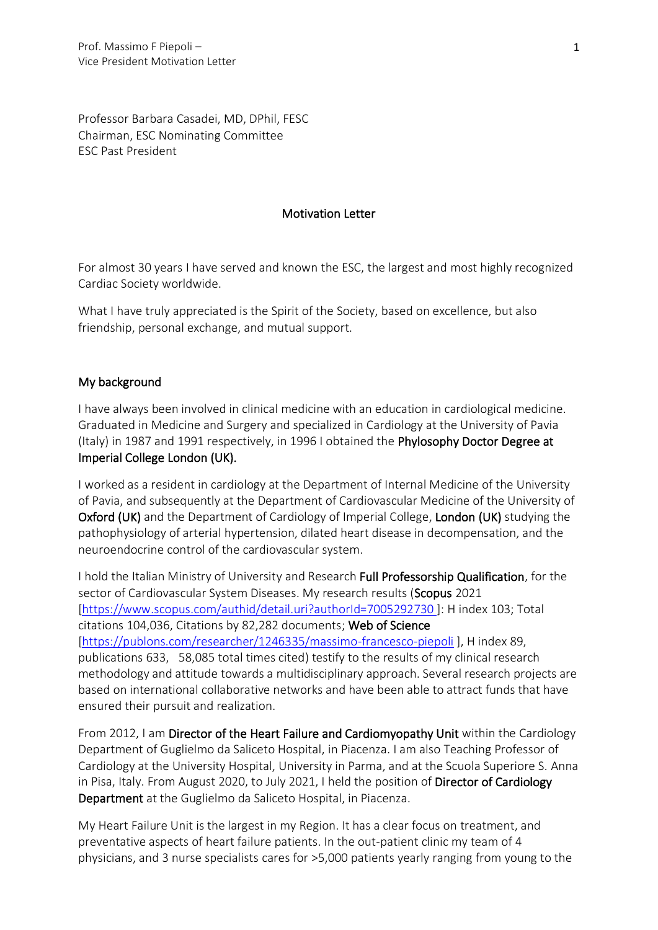Professor Barbara Casadei, MD, DPhil, FESC Chairman, ESC Nominating Committee ESC Past President

## Motivation Letter

For almost 30 years I have served and known the ESC, the largest and most highly recognized Cardiac Society worldwide.

What I have truly appreciated is the Spirit of the Society, based on excellence, but also friendship, personal exchange, and mutual support.

## My background

I have always been involved in clinical medicine with an education in cardiological medicine. Graduated in Medicine and Surgery and specialized in Cardiology at the University of Pavia (Italy) in 1987 and 1991 respectively, in 1996 I obtained the Phylosophy Doctor Degree at Imperial College London (UK).

I worked as a resident in cardiology at the Department of Internal Medicine of the University of Pavia, and subsequently at the Department of Cardiovascular Medicine of the University of Oxford (UK) and the Department of Cardiology of Imperial College, London (UK) studying the pathophysiology of arterial hypertension, dilated heart disease in decompensation, and the neuroendocrine control of the cardiovascular system.

I hold the Italian Ministry of University and Research Full Professorship Qualification, for the sector of Cardiovascular System Diseases. My research results (Scopus 2021 [\[https://www.scopus.com/authid/detail.uri?authorId=7005292730](https://www.scopus.com/authid/detail.uri?authorId=7005292730) ]: H index 103; Total citations 104,036, Citations by 82,282 documents; Web of Science [\[https://publons.com/researcher/1246335/massimo-francesco-piepoli](https://publons.com/researcher/1246335/massimo-francesco-piepoli) ], H index 89, publications 633, 58,085 total times cited) testify to the results of my clinical research methodology and attitude towards a multidisciplinary approach. Several research projects are based on international collaborative networks and have been able to attract funds that have ensured their pursuit and realization.

From 2012, I am Director of the Heart Failure and Cardiomyopathy Unit within the Cardiology Department of Guglielmo da Saliceto Hospital, in Piacenza. I am also Teaching Professor of Cardiology at the University Hospital, University in Parma, and at the Scuola Superiore S. Anna in Pisa, Italy. From August 2020, to July 2021, I held the position of Director of Cardiology Department at the Guglielmo da Saliceto Hospital, in Piacenza.

My Heart Failure Unit is the largest in my Region. It has a clear focus on treatment, and preventative aspects of heart failure patients. In the out-patient clinic my team of 4 physicians, and 3 nurse specialists cares for >5,000 patients yearly ranging from young to the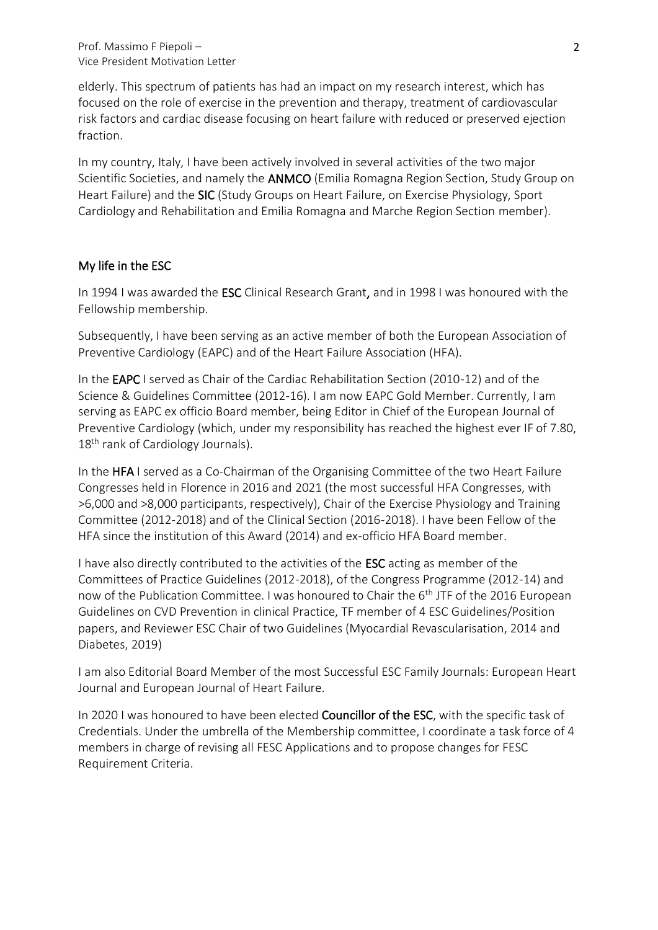Prof. Massimo F Piepoli – Vice President Motivation Letter

elderly. This spectrum of patients has had an impact on my research interest, which has focused on the role of exercise in the prevention and therapy, treatment of cardiovascular risk factors and cardiac disease focusing on heart failure with reduced or preserved ejection fraction.

In my country, Italy, I have been actively involved in several activities of the two major Scientific Societies, and namely the ANMCO (Emilia Romagna Region Section, Study Group on Heart Failure) and the SIC (Study Groups on Heart Failure, on Exercise Physiology, Sport Cardiology and Rehabilitation and Emilia Romagna and Marche Region Section member).

## My life in the ESC

In 1994 I was awarded the ESC Clinical Research Grant, and in 1998 I was honoured with the Fellowship membership.

Subsequently, I have been serving as an active member of both the European Association of Preventive Cardiology (EAPC) and of the Heart Failure Association (HFA).

In the **EAPC** I served as Chair of the Cardiac Rehabilitation Section (2010-12) and of the Science & Guidelines Committee (2012-16). I am now EAPC Gold Member. Currently, I am serving as EAPC ex officio Board member, being Editor in Chief of the European Journal of Preventive Cardiology (which, under my responsibility has reached the highest ever IF of 7.80, 18<sup>th</sup> rank of Cardiology Journals).

In the HFA I served as a Co-Chairman of the Organising Committee of the two Heart Failure Congresses held in Florence in 2016 and 2021 (the most successful HFA Congresses, with >6,000 and >8,000 participants, respectively), Chair of the Exercise Physiology and Training Committee (2012-2018) and of the Clinical Section (2016-2018). I have been Fellow of the HFA since the institution of this Award (2014) and ex-officio HFA Board member.

I have also directly contributed to the activities of the ESC acting as member of the Committees of Practice Guidelines (2012-2018), of the Congress Programme (2012-14) and now of the Publication Committee. I was honoured to Chair the 6<sup>th</sup> JTF of the 2016 European Guidelines on CVD Prevention in clinical Practice, TF member of 4 ESC Guidelines/Position papers, and Reviewer ESC Chair of two Guidelines (Myocardial Revascularisation, 2014 and Diabetes, 2019)

I am also Editorial Board Member of the most Successful ESC Family Journals: European Heart Journal and European Journal of Heart Failure.

In 2020 I was honoured to have been elected Councillor of the ESC, with the specific task of Credentials. Under the umbrella of the Membership committee, I coordinate a task force of 4 members in charge of revising all FESC Applications and to propose changes for FESC Requirement Criteria.